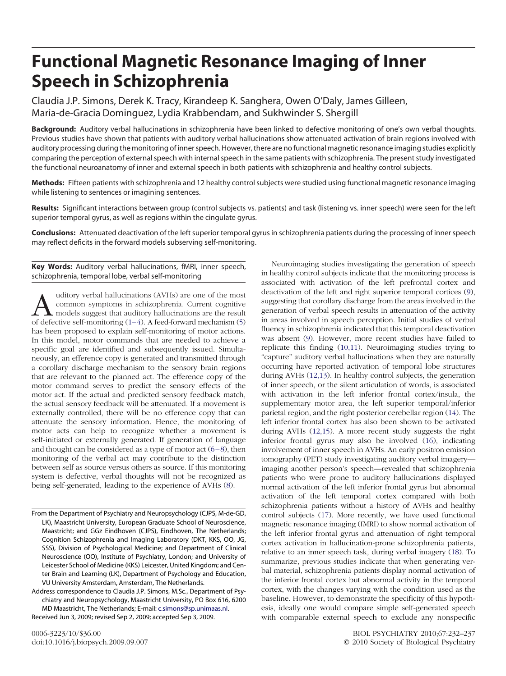# **Functional Magnetic Resonance Imaging of Inner Speech in Schizophrenia**

Claudia J.P. Simons, Derek K. Tracy, Kirandeep K. Sanghera, Owen O'Daly, James Gilleen, Maria-de-Gracia Dominguez, Lydia Krabbendam, and Sukhwinder S. Shergill

**Background:** Auditory verbal hallucinations in schizophrenia have been linked to defective monitoring of one's own verbal thoughts. Previous studies have shown that patients with auditory verbal hallucinations show attenuated activation of brain regions involved with auditory processing during the monitoring of inner speech. However, there are no functional magnetic resonance imaging studies explicitly comparing the perception of external speech with internal speech in the same patients with schizophrenia. The present study investigated the functional neuroanatomy of inner and external speech in both patients with schizophrenia and healthy control subjects.

**Methods:** Fifteen patients with schizophrenia and 12 healthy control subjects were studied using functional magnetic resonance imaging while listening to sentences or imagining sentences.

**Results:** Significant interactions between group (control subjects vs. patients) and task (listening vs. inner speech) were seen for the left superior temporal gyrus, as well as regions within the cingulate gyrus.

**Conclusions:** Attenuated deactivation of the left superior temporal gyrus in schizophrenia patients during the processing of inner speech may reflect deficits in the forward models subserving self-monitoring.

# **Key Words:** Auditory verbal hallucinations, fMRI, inner speech, schizophrenia, temporal lobe, verbal self-monitoring

uditory verbal hallucinations (AVHs) are one of the most common symptoms in schizophrenia. Current cognitive models suggest that auditory hallucinations are the result of defective self-monitoring  $(1-4)$ . A feed-forward mechanism  $(5)$ has been proposed to explain self-monitoring of motor actions. In this model, motor commands that are needed to achieve a specific goal are identified and subsequently issued. Simultaneously, an efference copy is generated and transmitted through a corollary discharge mechanism to the sensory brain regions that are relevant to the planned act. The efference copy of the motor command serves to predict the sensory effects of the motor act. If the actual and predicted sensory feedback match, the actual sensory feedback will be attenuated. If a movement is externally controlled, there will be no efference copy that can attenuate the sensory information. Hence, the monitoring of motor acts can help to recognize whether a movement is self-initiated or externally generated. If generation of language and thought can be considered as a type of motor act  $(6-8)$ , then monitoring of the verbal act may contribute to the distinction between self as source versus others as source. If this monitoring system is defective, verbal thoughts will not be recognized as being self-generated, leading to the experience of AVHs [\(8\)](#page-4-0).

Neuroimaging studies investigating the generation of speech in healthy control subjects indicate that the monitoring process is associated with activation of the left prefrontal cortex and deactivation of the left and right superior temporal cortices [\(9\)](#page-4-0), suggesting that corollary discharge from the areas involved in the generation of verbal speech results in attenuation of the activity in areas involved in speech perception. Initial studies of verbal fluency in schizophrenia indicated that this temporal deactivation was absent [\(9\)](#page-4-0). However, more recent studies have failed to replicate this finding [\(10,11\)](#page-4-0). Neuroimaging studies trying to "capture" auditory verbal hallucinations when they are naturally occurring have reported activation of temporal lobe structures during AVHs [\(12,13\)](#page-5-0). In healthy control subjects, the generation of inner speech, or the silent articulation of words, is associated with activation in the left inferior frontal cortex/insula, the supplementary motor area, the left superior temporal/inferior parietal region, and the right posterior cerebellar region [\(14\)](#page-5-0). The left inferior frontal cortex has also been shown to be activated during AVHs [\(12,15\)](#page-5-0). A more recent study suggests the right inferior frontal gyrus may also be involved [\(16\)](#page-5-0), indicating involvement of inner speech in AVHs. An early positron emission tomography (PET) study investigating auditory verbal imagery imaging another person's speech—revealed that schizophrenia patients who were prone to auditory hallucinations displayed normal activation of the left inferior frontal gyrus but abnormal activation of the left temporal cortex compared with both schizophrenia patients without a history of AVHs and healthy control subjects [\(17\)](#page-5-0). More recently, we have used functional magnetic resonance imaging (fMRI) to show normal activation of the left inferior frontal gyrus and attenuation of right temporal cortex activation in hallucination-prone schizophrenia patients, relative to an inner speech task, during verbal imagery [\(18\)](#page-5-0). To summarize, previous studies indicate that when generating verbal material, schizophrenia patients display normal activation of the inferior frontal cortex but abnormal activity in the temporal cortex, with the changes varying with the condition used as the baseline. However, to demonstrate the specificity of this hypothesis, ideally one would compare simple self-generated speech with comparable external speech to exclude any nonspecific

From the Department of Psychiatry and Neuropsychology (CJPS, M-de-GD, LK), Maastricht University, European Graduate School of Neuroscience, Maastricht; and GGz Eindhoven (CJPS), Eindhoven, The Netherlands; Cognition Schizophrenia and Imaging Laboratory (DKT, KKS, OO, JG, SSS), Division of Psychological Medicine; and Department of Clinical Neuroscience (OO), Institute of Psychiatry, London; and University of Leicester School of Medicine (KKS) Leicester, United Kingdom; and Center Brain and Learning (LK), Department of Psychology and Education, VU University Amsterdam, Amsterdam, The Netherlands.

Address correspondence to Claudia J.P. Simons, M.Sc., Department of Psychiatry and Neuropsychology, Maastricht University, PO Box 616, 6200 MD Maastricht, The Netherlands; E-mail: [c.simons@sp.unimaas.nl.](mailto:c.simons@sp.unimaas.nl) Received Jun 3, 2009; revised Sep 2, 2009; accepted Sep 3, 2009.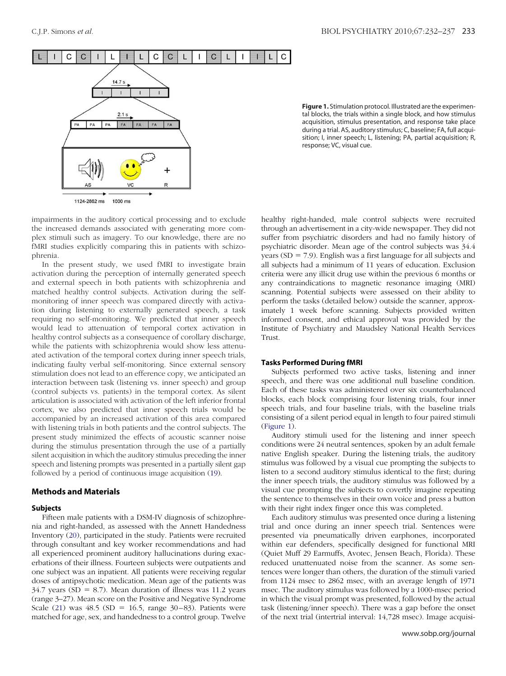

**Figure 1.** Stimulation protocol. Illustrated are the experimental blocks, the trials within a single block, and how stimulus acquisition, stimulus presentation, and response take place during a trial. AS, auditory stimulus; C, baseline; FA, full acquisition; I, inner speech; L, listening; PA, partial acquisition; R, response; VC, visual cue.

impairments in the auditory cortical processing and to exclude the increased demands associated with generating more complex stimuli such as imagery. To our knowledge, there are no fMRI studies explicitly comparing this in patients with schizophrenia.

In the present study, we used fMRI to investigate brain activation during the perception of internally generated speech and external speech in both patients with schizophrenia and matched healthy control subjects. Activation during the selfmonitoring of inner speech was compared directly with activation during listening to externally generated speech, a task requiring no self-monitoring. We predicted that inner speech would lead to attenuation of temporal cortex activation in healthy control subjects as a consequence of corollary discharge, while the patients with schizophrenia would show less attenuated activation of the temporal cortex during inner speech trials, indicating faulty verbal self-monitoring. Since external sensory stimulation does not lead to an efference copy, we anticipated an interaction between task (listening vs. inner speech) and group (control subjects vs. patients) in the temporal cortex. As silent articulation is associated with activation of the left inferior frontal cortex, we also predicted that inner speech trials would be accompanied by an increased activation of this area compared with listening trials in both patients and the control subjects. The present study minimized the effects of acoustic scanner noise during the stimulus presentation through the use of a partially silent acquisition in which the auditory stimulus preceding the inner speech and listening prompts was presented in a partially silent gap followed by a period of continuous image acquisition [\(19\)](#page-5-0).

# **Methods and Materials**

#### **Subjects**

Fifteen male patients with a DSM-IV diagnosis of schizophrenia and right-handed, as assessed with the Annett Handedness Inventory [\(20\)](#page-5-0), participated in the study. Patients were recruited through consultant and key worker recommendations and had all experienced prominent auditory hallucinations during exacerbations of their illness. Fourteen subjects were outpatients and one subject was an inpatient. All patients were receiving regular doses of antipsychotic medication. Mean age of the patients was  $34.7$  years (SD = 8.7). Mean duration of illness was 11.2 years (range 3–27). Mean score on the Positive and Negative Syndrome Scale [\(21\)](#page-5-0) was  $48.5$  (SD = 16.5, range  $30-83$ ). Patients were matched for age, sex, and handedness to a control group. Twelve healthy right-handed, male control subjects were recruited through an advertisement in a city-wide newspaper. They did not suffer from psychiatric disorders and had no family history of psychiatric disorder. Mean age of the control subjects was 34.4 years ( $SD = 7.9$ ). English was a first language for all subjects and all subjects had a minimum of 11 years of education. Exclusion criteria were any illicit drug use within the previous 6 months or any contraindications to magnetic resonance imaging (MRI) scanning. Potential subjects were assessed on their ability to perform the tasks (detailed below) outside the scanner, approximately 1 week before scanning. Subjects provided written informed consent, and ethical approval was provided by the Institute of Psychiatry and Maudsley National Health Services Trust.

#### **Tasks Performed During fMRI**

Subjects performed two active tasks, listening and inner speech, and there was one additional null baseline condition. Each of these tasks was administered over six counterbalanced blocks, each block comprising four listening trials, four inner speech trials, and four baseline trials, with the baseline trials consisting of a silent period equal in length to four paired stimuli (Figure 1).

Auditory stimuli used for the listening and inner speech conditions were 24 neutral sentences, spoken by an adult female native English speaker. During the listening trials, the auditory stimulus was followed by a visual cue prompting the subjects to listen to a second auditory stimulus identical to the first; during the inner speech trials, the auditory stimulus was followed by a visual cue prompting the subjects to covertly imagine repeating the sentence to themselves in their own voice and press a button with their right index finger once this was completed.

Each auditory stimulus was presented once during a listening trial and once during an inner speech trial. Sentences were presented via pneumatically driven earphones, incorporated within ear defenders, specifically designed for functional MRI (Quiet Muff 29 Earmuffs, Avotec, Jensen Beach, Florida). These reduced unattenuated noise from the scanner. As some sentences were longer than others, the duration of the stimuli varied from 1124 msec to 2862 msec, with an average length of 1971 msec. The auditory stimulus was followed by a 1000-msec period in which the visual prompt was presented, followed by the actual task (listening/inner speech). There was a gap before the onset of the next trial (intertrial interval: 14,728 msec). Image acquisi-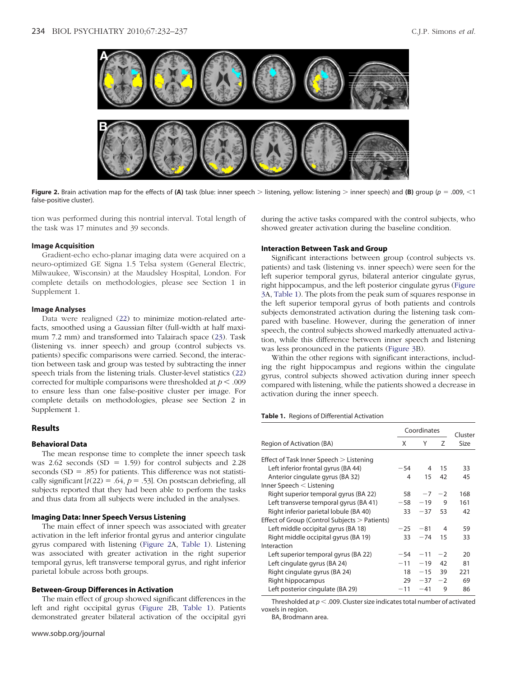

**Figure 2.** Brain activation map for the effects of **(A)** task (blue: inner speech > listening, yellow: listening > inner speech) and **(B)** group (*p* = .009, <1 false-positive cluster).

tion was performed during this nontrial interval. Total length of the task was 17 minutes and 39 seconds.

## **Image Acquisition**

Gradient-echo echo-planar imaging data were acquired on a neuro-optimized GE Signa 1.5 Telsa system (General Electric, Milwaukee, Wisconsin) at the Maudsley Hospital, London. For complete details on methodologies, please see Section 1 in Supplement 1.

#### **Image Analyses**

Data were realigned [\(22\)](#page-5-0) to minimize motion-related artefacts, smoothed using a Gaussian filter (full-width at half maximum 7.2 mm) and transformed into Talairach space [\(23\)](#page-5-0). Task (listening vs. inner speech) and group (control subjects vs. patients) specific comparisons were carried. Second, the interaction between task and group was tested by subtracting the inner speech trials from the listening trials. Cluster-level statistics [\(22\)](#page-5-0) corrected for multiple comparisons were thresholded at  $p < .009$ to ensure less than one false-positive cluster per image. For complete details on methodologies, please see Section 2 in Supplement 1.

# **Results**

# **Behavioral Data**

The mean response time to complete the inner speech task was  $2.62$  seconds (SD = 1.59) for control subjects and  $2.28$ seconds ( $SD = .85$ ) for patients. This difference was not statistically significant  $[t(22) = .64, p = .53]$ . On postscan debriefing, all subjects reported that they had been able to perform the tasks and thus data from all subjects were included in the analyses.

#### **Imaging Data: Inner Speech Versus Listening**

The main effect of inner speech was associated with greater activation in the left inferior frontal gyrus and anterior cingulate gyrus compared with listening (Figure 2A, Table 1). Listening was associated with greater activation in the right superior temporal gyrus, left transverse temporal gyrus, and right inferior parietal lobule across both groups.

#### **Between-Group Differences in Activation**

The main effect of group showed significant differences in the left and right occipital gyrus (Figure 2B, Table 1). Patients demonstrated greater bilateral activation of the occipital gyri during the active tasks compared with the control subjects, who showed greater activation during the baseline condition.

#### **Interaction Between Task and Group**

Significant interactions between group (control subjects vs. patients) and task (listening vs. inner speech) were seen for the left superior temporal gyrus, bilateral anterior cingulate gyrus, right hippocampus, and the left posterior cingulate gyrus [\(Figure](#page-3-0) [3A](#page-3-0), Table 1). The plots from the peak sum of squares response in the left superior temporal gyrus of both patients and controls subjects demonstrated activation during the listening task compared with baseline. However, during the generation of inner speech, the control subjects showed markedly attenuated activation, while this difference between inner speech and listening was less pronounced in the patients [\(Figure 3B](#page-3-0)).

Within the other regions with significant interactions, including the right hippocampus and regions within the cingulate gyrus, control subjects showed activation during inner speech compared with listening, while the patients showed a decrease in activation during the inner speech.

#### **Table 1.** Regions of Differential Activation

|                                                 |       | Coordinates |                |                 |
|-------------------------------------------------|-------|-------------|----------------|-----------------|
| Region of Activation (BA)                       | X     | Y           | $\overline{7}$ | Cluster<br>Size |
| Effect of Task Inner Speech $>$ Listening       |       |             |                |                 |
| Left inferior frontal gyrus (BA 44)             | $-54$ | 4           | 15             | 33              |
| Anterior cingulate gyrus (BA 32)                | 4     | 15          | 42             | 45              |
| Inner Speech $\leq$ Listening                   |       |             |                |                 |
| Right superior temporal gyrus (BA 22)           | 58    | $-7$        | $-2$           | 168             |
| Left transverse temporal gyrus (BA41)           | $-58$ | $-19$       | 9              | 161             |
| Right inferior parietal lobule (BA 40)          | 33    | $-37$       | 53             | 42              |
| Effect of Group (Control Subjects $>$ Patients) |       |             |                |                 |
| Left middle occipital gyrus (BA 18)             | $-25$ | $-81$       | 4              | 59              |
| Right middle occipital gyrus (BA 19)            | 33    | $-74$       | 15             | 33              |
| Interaction                                     |       |             |                |                 |
| Left superior temporal gyrus (BA 22)            | $-54$ | $-11$       | $-2$           | 20              |
| Left cingulate gyrus (BA 24)                    | $-11$ | $-19$       | 42             | 81              |
| Right cingulate gyrus (BA 24)                   | 18    | $-15$       | 39             | 221             |
| Right hippocampus                               | 29    | $-37$       | $-2$           | 69              |
| Left posterior cingulate (BA 29)                | $-11$ | $-41$       | 9              | 86              |

Thresholded at  $p <$  .009. Cluster size indicates total number of activated voxels in region.

BA, Brodmann area.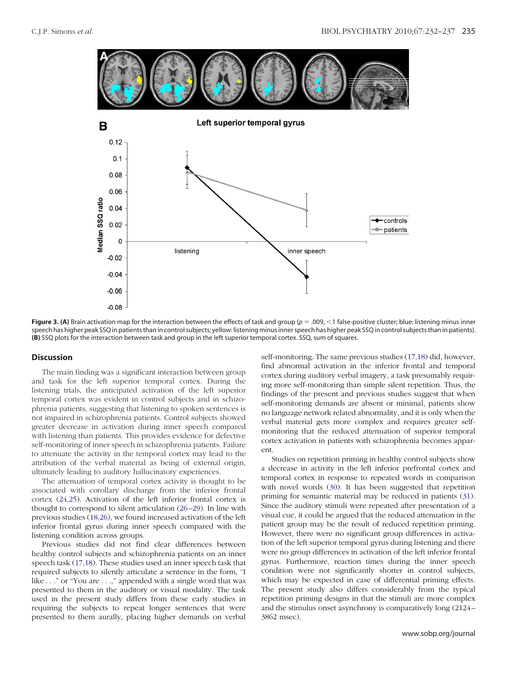<span id="page-3-0"></span>

**Figure 3. (A)** Brain activation map for the interaction between the effects of task and group (*p* = .009, <1 false-positive cluster; blue: listening minus inner speech has higher peak SSQ in patients than in control subjects; yellow: listening minus inner speech has higher peak SSQ in control subjects than in patients). **(B)** SSQ plots for the interaction between task and group in the left superior temporal cortex. SSQ, sum of squares.

# **Discussion**

The main finding was a significant interaction between group and task for the left superior temporal cortex. During the listening trials, the anticipated activation of the left superior temporal cortex was evident in control subjects and in schizophrenia patients, suggesting that listening to spoken sentences is not impaired in schizophrenia patients. Control subjects showed greater decrease in activation during inner speech compared with listening than patients. This provides evidence for defective self-monitoring of inner speech in schizophrenia patients. Failure to attenuate the activity in the temporal cortex may lead to the attribution of the verbal material as being of external origin, ultimately leading to auditory hallucinatory experiences.

The attenuation of temporal cortex activity is thought to be associated with corollary discharge from the inferior frontal cortex [\(24,25\)](#page-5-0). Activation of the left inferior frontal cortex is thought to correspond to silent articulation [\(26 –29\)](#page-5-0). In line with previous studies [\(18,26\)](#page-5-0), we found increased activation of the left inferior frontal gyrus during inner speech compared with the listening condition across groups.

Previous studies did not find clear differences between healthy control subjects and schizophrenia patients on an inner speech task [\(17,18\)](#page-5-0). These studies used an inner speech task that required subjects to silently articulate a sentence in the form, "I like . . ." or "You are . . .," appended with a single word that was presented to them in the auditory or visual modality. The task used in the present study differs from these early studies in requiring the subjects to repeat longer sentences that were presented to them aurally, placing higher demands on verbal self-monitoring. The same previous studies [\(17,18\)](#page-5-0) did, however, find abnormal activation in the inferior frontal and temporal cortex during auditory verbal imagery, a task presumably requiring more self-monitoring than simple silent repetition. Thus, the findings of the present and previous studies suggest that when self-monitoring demands are absent or minimal, patients show no language network related abnormality, and it is only when the verbal material gets more complex and requires greater selfmonitoring that the reduced attenuation of superior temporal cortex activation in patients with schizophrenia becomes apparent.

Studies on repetition priming in healthy control subjects show a decrease in activity in the left inferior prefrontal cortex and temporal cortex in response to repeated words in comparison with novel words [\(30\)](#page-5-0). It has been suggested that repetition priming for semantic material may be reduced in patients [\(31\)](#page-5-0). Since the auditory stimuli were repeated after presentation of a visual cue, it could be argued that the reduced attenuation in the patient group may be the result of reduced repetition priming. However, there were no significant group differences in activation of the left superior temporal gyrus during listening and there were no group differences in activation of the left inferior frontal gyrus. Furthermore, reaction times during the inner speech condition were not significantly shorter in control subjects, which may be expected in case of differential priming effects. The present study also differs considerably from the typical repetition priming designs in that the stimuli are more complex and the stimulus onset asynchrony is comparatively long (2124 – 3862 msec).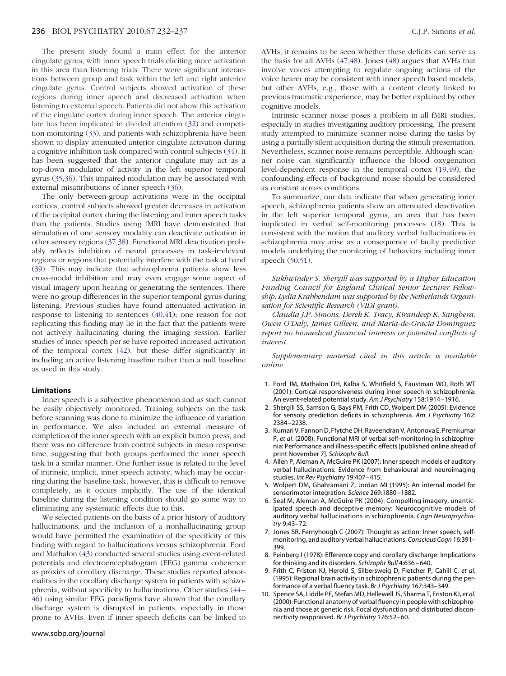<span id="page-4-0"></span>The present study found a main effect for the anterior cingulate gyrus, with inner speech trials eliciting more activation in this area than listening trials. There were significant interactions between group and task within the left and right anterior cingulate gyrus. Control subjects showed activation of these regions during inner speech and decreased activation when listening to external speech. Patients did not show this activation of the cingulate cortex during inner speech. The anterior cingulate has been implicated in divided attention [\(32\)](#page-5-0) and competition monitoring [\(33\)](#page-5-0), and patients with schizophrenia have been shown to display attenuated anterior cingulate activation during a cognitive inhibition task compared with control subjects [\(34\)](#page-5-0). It has been suggested that the anterior cingulate may act as a top-down modulator of activity in the left superior temporal gyrus [\(35,36\)](#page-5-0). This impaired modulation may be associated with external misattributions of inner speech [\(36\)](#page-5-0).

The only between-group activations were in the occipital cortices; control subjects showed greater decreases in activation of the occipital cortex during the listening and inner speech tasks than the patients. Studies using fMRI have demonstrated that stimulation of one sensory modality can deactivate activation in other sensory regions [\(37,38\)](#page-5-0). Functional MRI deactivation probably reflects inhibition of neural processes in task-irrelevant regions or regions that potentially interfere with the task at hand [\(39\)](#page-5-0). This may indicate that schizophrenia patients show less cross-modal inhibition and may even engage some aspect of visual imagery upon hearing or generating the sentences. There were no group differences in the superior temporal gyrus during listening. Previous studies have found attenuated activation in response to listening to sentences [\(40,41\)](#page-5-0); one reason for not replicating this finding may lie in the fact that the patients were not actively hallucinating during the imaging session. Earlier studies of inner speech per se have reported increased activation of the temporal cortex [\(42\)](#page-5-0), but these differ significantly in including an active listening baseline rather than a null baseline as used in this study.

# **Limitations**

Inner speech is a subjective phenomenon and as such cannot be easily objectively monitored. Training subjects on the task before scanning was done to minimize the influence of variation in performance. We also included an external measure of completion of the inner speech with an explicit button press, and there was no difference from control subjects in mean response time, suggesting that both groups performed the inner speech task in a similar manner. One further issue is related to the level of intrinsic, implicit, inner speech activity, which may be occurring during the baseline task; however, this is difficult to remove completely, as it occurs implicitly. The use of the identical baseline during the listening condition should go some way to eliminating any systematic effects due to this.

We selected patients on the basis of a prior history of auditory hallucinations, and the inclusion of a nonhallucinating group would have permitted the examination of the specificity of this finding with regard to hallucinations versus schizophrenia. Ford and Mathalon [\(43\)](#page-5-0) conducted several studies using event-related potentials and electroencephalogram (EEG) gamma coherence as proxies of corollary discharge. These studies reported abnormalities in the corollary discharge system in patients with schizophrenia, without specificity to hallucinations. Other studies [\(44 –](#page-5-0) [46\)](#page-5-0) using similar EEG paradigms have shown that the corollary discharge system is disrupted in patients, especially in those prone to AVHs. Even if inner speech deficits can be linked to AVHs, it remains to be seen whether these deficits can serve as the basis for all AVHs [\(47,48\)](#page-5-0). Jones [\(48\)](#page-5-0) argues that AVHs that involve voices attempting to regulate ongoing actions of the voice hearer may be consistent with inner speech based models, but other AVHs, e.g., those with a content clearly linked to previous traumatic experience, may be better explained by other cognitive models.

Intrinsic scanner noise poses a problem in all fMRI studies, especially in studies investigating auditory processing. The present study attempted to minimize scanner noise during the tasks by using a partially silent acquisition during the stimuli presentation. Nevertheless, scanner noise remains perceptible. Although scanner noise can significantly influence the blood oxygenation level-dependent response in the temporal cortex [\(19,49\)](#page-5-0), the confounding effects of background noise should be considered as constant across conditions.

To summarize, our data indicate that when generating inner speech, schizophrenia patients show an attenuated deactivation in the left superior temporal gyrus, an area that has been implicated in verbal self-monitoring processes [\(18\)](#page-5-0). This is consistent with the notion that auditory verbal hallucinations in schizophrenia may arise as a consequence of faulty predictive models underlying the monitoring of behaviors including inner speech [\(50,51\)](#page-5-0).

*Sukhwinder S. Shergill was supported by a Higher Education Funding Council for England Clinical Senior Lecturer Fellowship. Lydia Krabbendam was supported by the Netherlands Organisation for Scientific Research (VIDI grant).*

*Claudia J.P. Simons, Derek K. Tracy, Kirandeep K. Sanghera, Owen O'Daly, James Gilleen, and Maria-de-Gracia Dominguez report no biomedical financial interests or potential conflicts of interest.*

*Supplementary material cited in this article is available online.*

- 1. Ford JM, Mathalon DH, Kalba S, Whitfield S, Faustman WO, Roth WT (2001): Cortical responsiveness during inner speech in schizophrenia: An event-related potential study. *Am J Psychiatry* 158:1914 –1916.
- 2. Shergill SS, Samson G, Bays PM, Frith CD, Wolpert DM (2005): Evidence for sensory prediction deficits in schizophrenia. *Am J Psychiatry* 162: 2384 –2238.
- 3. Kumari V, Fannon D, Ffytche DH, Raveendran V, Antonova E, Premkumar P, *et al*. (2008): Functional MRI of verbal self-monitoring in schizophrenia: Performance and illness-specific effects [published online ahead of print November 7]. *Schizophr Bull*.
- 4. Allen P, Aleman A, McGuire PK (2007): Inner speech models of auditory verbal hallucinations: Evidence from behavioural and neuroimaging studies. *Int Rev Psychiatry* 19:407– 415.
- 5. Wolpert DM, Ghahramani Z, Jordan MI (1995): An internal model for sensorimotor integration. *Science* 269:1880 –1882.
- 6. Seal M, Aleman A, McGuire PK (2004): Compelling imagery, unanticipated speech and deceptive memory: Neurocognitive models of auditory verbal hallucinations in schizophrenia. *Cogn Neuropsychiatry* 9:43–72.
- 7. Jones SR, Fernyhough C (2007): Thought as action: Inner speech, selfmonitoring, and auditory verbal hallucinations. *Conscious Cogn* 16:391– 399.
- 8. Feinberg I (1978): Efference copy and corollary discharge: Implications for thinking and its disorders. *Schizophr Bull* 4:636 – 640.
- 9. Frith C, Friston KJ, Herold S, Silbersweig D, Fletcher P, Cahill C, *et al.* (1995): Regional brain activity in schizophrenic patients during the performance of a verbal fluency task. *Br J Psychiatry* 167:343–349.
- 10. Spence SA, Liddle PF, Stefan MD, Hellewell JS, Sharma T, Friston KJ, *et al.* (2000): Functional anatomy of verbal fluency in people with schizophrenia and those at genetic risk. Focal dysfunction and distributed disconnectivity reappraised. *Br J Psychiatry* 176:52– 60.